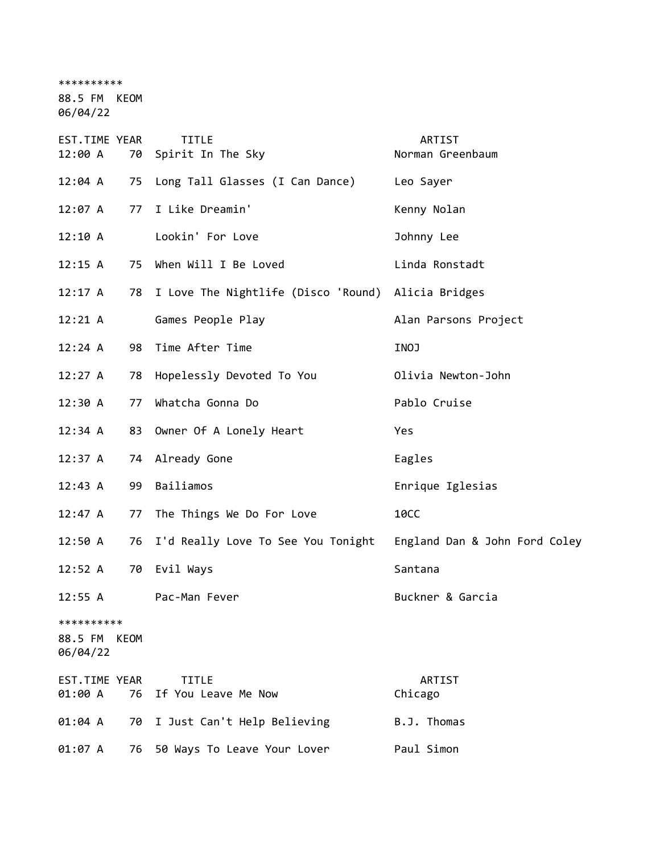\*\*\*\*\*\*\*\*\*\*

88.5 FM KEOM 06/04/22

EST.TIME YEAR TITLE THE REST.TIME YEAR 12:00 A 70 Spirit In The Sky Norman Greenbaum 12:04 A 75 Long Tall Glasses (I Can Dance) Leo Sayer 12:07 A 77 I Like Dreamin' Kenny Nolan 12:10 A Lookin' For Love Johnny Lee 12:15 A 75 When Will I Be Loved Linda Ronstadt 12:17 A 78 I Love The Nightlife (Disco 'Round) Alicia Bridges 12:21 A Games People Play Contract Alan Parsons Project 12:24 A 98 Time After Time INOJ 12:27 A 78 Hopelessly Devoted To You Olivia Newton-John 12:30 A 77 Whatcha Gonna Do Pablo Cruise 12:34 A 83 Owner Of A Lonely Heart Yes 12:37 A 74 Already Gone **Eagles** 12:43 A 99 Bailiamos Enrique Iglesias 12:47 A 77 The Things We Do For Love 10CC 12:50 A 76 I'd Really Love To See You Tonight England Dan & John Ford Coley 12:52 A 70 Evil Ways Santana 12:55 A Pac-Man Fever **Buckner & Garcia** \*\*\*\*\*\*\*\*\*\* 88.5 FM KEOM 06/04/22 EST.TIME YEAR TITLE ARTIST 01:00 A 76 If You Leave Me Now Chicago 01:04 A 70 I Just Can't Help Believing B.J. Thomas 01:07 A 76 50 Ways To Leave Your Lover Paul Simon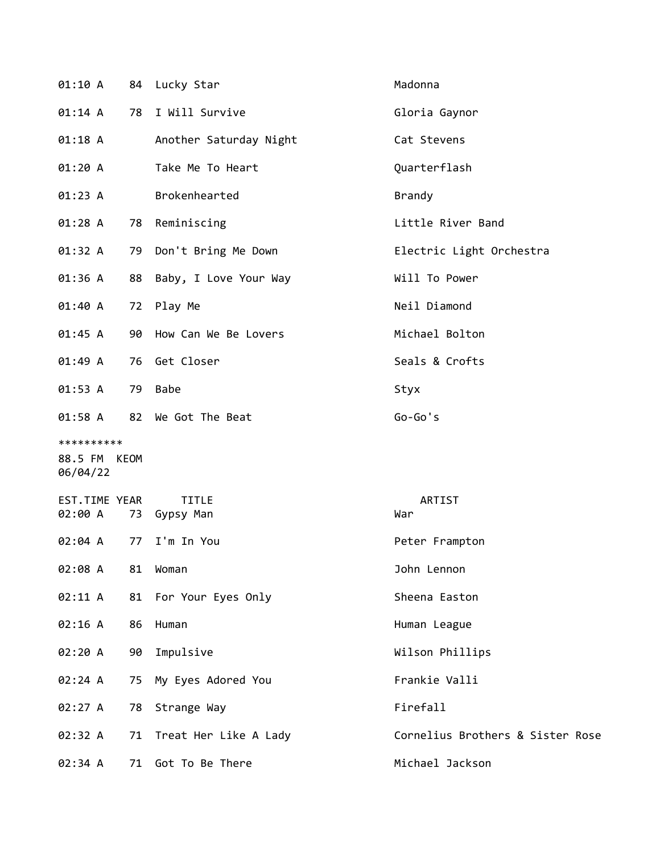| 01:10 A                                |    | 84 Lucky Star                | Madonna                          |
|----------------------------------------|----|------------------------------|----------------------------------|
| 01:14 A                                |    | 78 I Will Survive            | Gloria Gaynor                    |
| $01:18$ A                              |    | Another Saturday Night       | Cat Stevens                      |
| 01:20A                                 |    | Take Me To Heart             | Quarterflash                     |
| 01:23 A                                |    | Brokenhearted                | <b>Brandy</b>                    |
| 01:28 A                                |    | 78 Reminiscing               | Little River Band                |
| 01:32 A                                | 79 | Don't Bring Me Down          | Electric Light Orchestra         |
| 01:36 A                                | 88 | Baby, I Love Your Way        | Will To Power                    |
| 01:40 A                                |    | 72 Play Me                   | Neil Diamond                     |
| 01:45 A                                |    | 90 How Can We Be Lovers      | Michael Bolton                   |
| 01:49 A                                |    | 76 Get Closer                | Seals & Crofts                   |
| 01:53 A                                | 79 | <b>Babe</b>                  | Styx                             |
| 01:58 A                                |    | 82 We Got The Beat           | $Go-Go's$                        |
| **********<br>88.5 FM KEOM<br>06/04/22 |    |                              |                                  |
| EST.TIME YEAR<br>02:00 A               |    | <b>TITLE</b><br>73 Gypsy Man | ARTIST<br>War                    |
| 02:04 A                                | 77 | I'm In You                   | Peter Frampton                   |
| 02:08 A                                | 81 | Woman                        | John Lennon                      |
| 02:11 A                                |    | 81 For Your Eyes Only        | Sheena Easton                    |
| 02:16 A                                | 86 | Human                        | Human League                     |
| 02:20 A                                | 90 | Impulsive                    | Wilson Phillips                  |
| 02:24 A                                | 75 | My Eyes Adored You           | Frankie Valli                    |
| 02:27 A                                | 78 | Strange Way                  | Firefall                         |
| 02:32 A                                |    | 71 Treat Her Like A Lady     | Cornelius Brothers & Sister Rose |
| 02:34 A                                | 71 | Got To Be There              | Michael Jackson                  |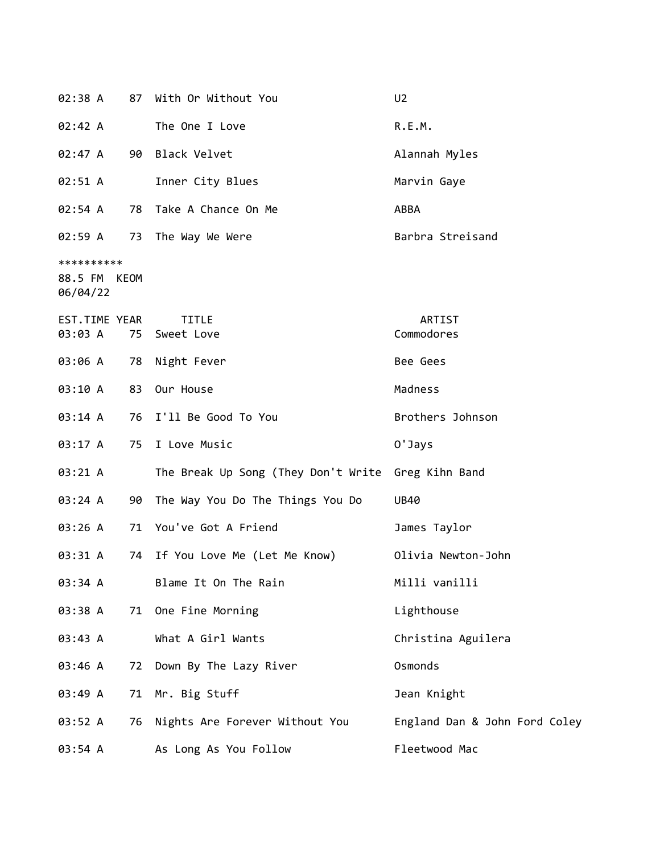| 02:38 A                                | 87 | With Or Without You                                | U <sub>2</sub>                |
|----------------------------------------|----|----------------------------------------------------|-------------------------------|
| 02:42 A                                |    | The One I Love                                     | R.E.M.                        |
| 02:47 A                                |    | 90 Black Velvet                                    | Alannah Myles                 |
| 02:51 A                                |    | Inner City Blues                                   | Marvin Gaye                   |
| 02:54 A                                | 78 | Take A Chance On Me                                | ABBA                          |
| 02:59 A                                |    | 73 The Way We Were                                 | Barbra Streisand              |
| **********<br>88.5 FM KEOM<br>06/04/22 |    |                                                    |                               |
| EST.TIME YEAR<br>03:03 A               | 75 | <b>TITLE</b><br>Sweet Love                         | ARTIST<br>Commodores          |
| 03:06 A                                | 78 | Night Fever                                        | Bee Gees                      |
| 03:10 A                                | 83 | Our House                                          | Madness                       |
| 03:14 A                                |    | 76 I'll Be Good To You                             | Brothers Johnson              |
| 03:17 A                                | 75 | I Love Music                                       | 0'Jays                        |
| 03:21 A                                |    | The Break Up Song (They Don't Write Greg Kihn Band |                               |
| 03:24 A                                | 90 | The Way You Do The Things You Do                   | <b>UB40</b>                   |
| 03:26 A                                |    | 71 You've Got A Friend                             | James Taylor                  |
| 03:31 A                                | 74 | If You Love Me (Let Me Know)                       | Olivia Newton-John            |
| 03:34 A                                |    | Blame It On The Rain                               | Milli vanilli                 |
| 03:38 A                                | 71 | One Fine Morning                                   | Lighthouse                    |
| 03:43 A                                |    | What A Girl Wants                                  | Christina Aguilera            |
| 03:46 A                                | 72 | Down By The Lazy River                             | Osmonds                       |
| 03:49 A                                | 71 | Mr. Big Stuff                                      | Jean Knight                   |
| 03:52 A                                | 76 | Nights Are Forever Without You                     | England Dan & John Ford Coley |
| 03:54 A                                |    | As Long As You Follow                              | Fleetwood Mac                 |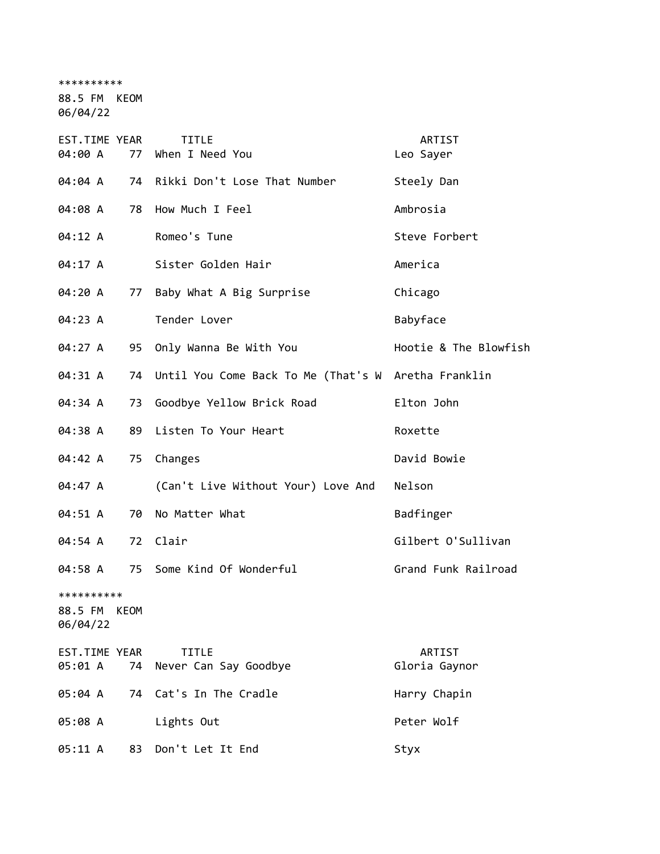\*\*\*\*\*\*\*\*\*\*

88.5 FM KEOM

06/04/22

| EST.TIME YEAR<br>04:00 A<br>77            | <b>TITLE</b><br>When I Need You                     | ARTIST<br>Leo Sayer   |
|-------------------------------------------|-----------------------------------------------------|-----------------------|
| 04:04 A<br>74                             | Rikki Don't Lose That Number                        | Steely Dan            |
| 04:08 A<br>78                             | How Much I Feel                                     | Ambrosia              |
| 04:12 A                                   | Romeo's Tune                                        | Steve Forbert         |
| 04:17 A                                   | Sister Golden Hair                                  | America               |
| 04:20 A<br>77                             | Baby What A Big Surprise                            | Chicago               |
| 04:23 A                                   | Tender Lover                                        | Babyface              |
| 04:27 A<br>95                             | Only Wanna Be With You                              | Hootie & The Blowfish |
| 04:31 A<br>74                             | Until You Come Back To Me (That's W Aretha Franklin |                       |
| 04:34 A<br>73                             | Goodbye Yellow Brick Road                           | Elton John            |
| 04:38 A<br>89                             | Listen To Your Heart                                | Roxette               |
| 04:42 A<br>75                             | Changes                                             | David Bowie           |
| 04:47 A                                   | (Can't Live Without Your) Love And                  | Nelson                |
| 04:51 A<br>70                             | No Matter What                                      | Badfinger             |
| 04:54 A                                   | 72 Clair                                            | Gilbert O'Sullivan    |
| 04:58 A<br>75                             | Some Kind Of Wonderful                              | Grand Funk Railroad   |
| **********<br>88.5 FM<br>KEOM<br>06/04/22 |                                                     |                       |
| EST.TIME YEAR                             | <b>TITLE</b>                                        | ARTIST                |
| 05:01 A<br>74                             | Never Can Say Goodbye                               | Gloria Gaynor         |
| 05:04 A                                   | 74 Cat's In The Cradle                              | Harry Chapin          |
| 05:08 A                                   | Lights Out                                          | Peter Wolf            |
| 05:11 A<br>83                             | Don't Let It End                                    | Styx                  |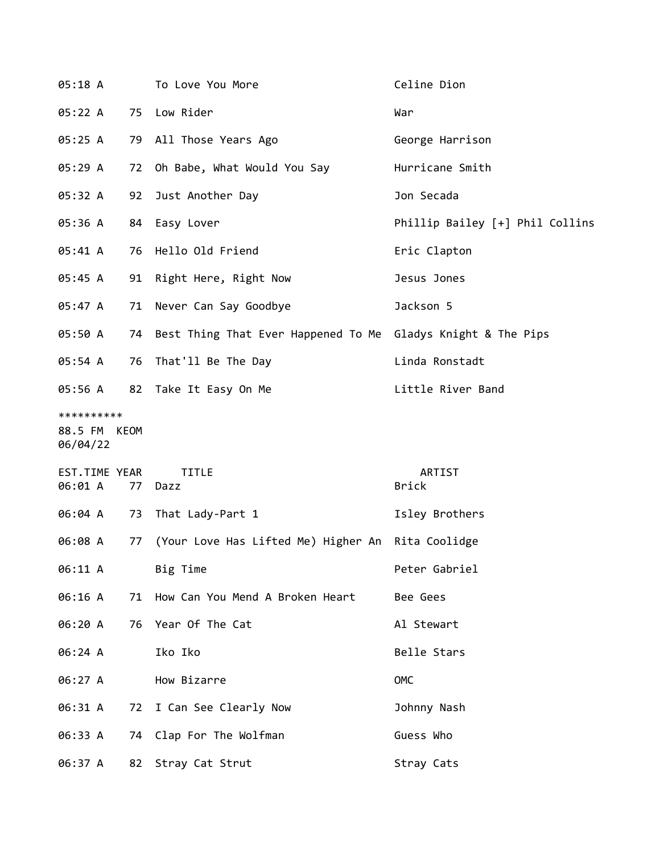| 05:18 A                                |    | To Love You More                                                | Celine Dion                     |
|----------------------------------------|----|-----------------------------------------------------------------|---------------------------------|
| 05:22 A                                |    | 75 Low Rider                                                    | War                             |
| 05:25 A                                |    | 79 All Those Years Ago                                          | George Harrison                 |
| 05:29 A                                | 72 | Oh Babe, What Would You Say                                     | Hurricane Smith                 |
| 05:32 A                                | 92 | Just Another Day                                                | Jon Secada                      |
| 05:36 A                                | 84 | Easy Lover                                                      | Phillip Bailey [+] Phil Collins |
| 05:41 A                                |    | 76 Hello Old Friend                                             | Eric Clapton                    |
| 05:45 A                                | 91 | Right Here, Right Now                                           | Jesus Jones                     |
| 05:47 A                                | 71 | Never Can Say Goodbye                                           | Jackson 5                       |
| 05:50 A                                |    | 74 Best Thing That Ever Happened To Me Gladys Knight & The Pips |                                 |
| 05:54 A                                |    | 76 That'll Be The Day                                           | Linda Ronstadt                  |
| 05:56 A                                |    | 82 Take It Easy On Me                                           | Little River Band               |
| **********<br>88.5 FM KEOM<br>06/04/22 |    |                                                                 |                                 |
| EST.TIME YEAR<br>06:01 A               | 77 | TITLE<br>Dazz                                                   | ARTIST<br><b>Brick</b>          |
| 06:04 A                                | 73 | That Lady-Part 1                                                | Isley Brothers                  |
| 06:08 A                                | 77 | (Your Love Has Lifted Me) Higher An Rita Coolidge               |                                 |
| 06:11 A                                |    | Big Time                                                        | Peter Gabriel                   |
| 06:16 A                                | 71 | How Can You Mend A Broken Heart                                 | Bee Gees                        |
| 06:20 A                                |    | 76 Year Of The Cat                                              | Al Stewart                      |
| 06:24 A                                |    | Iko Iko                                                         | Belle Stars                     |
| 06:27 A                                |    | How Bizarre                                                     | OMC                             |
| 06:31 A                                | 72 | I Can See Clearly Now                                           | Johnny Nash                     |
| 06:33 A                                |    | 74 Clap For The Wolfman                                         | Guess Who                       |
| 06:37 A                                |    | 82 Stray Cat Strut                                              | Stray Cats                      |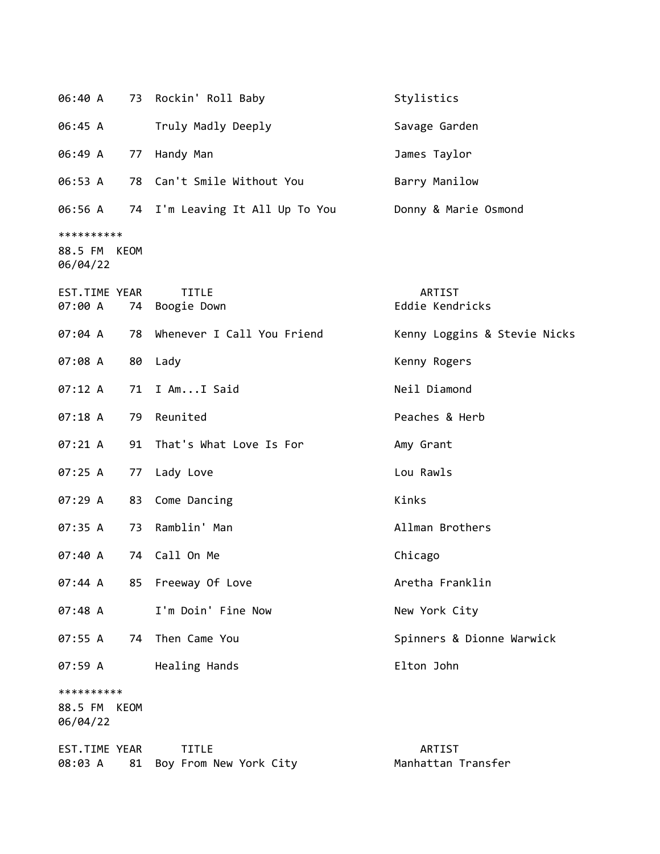| 06:40 A                                |      | 73 Rockin' Roll Baby                   | Stylistics                          |
|----------------------------------------|------|----------------------------------------|-------------------------------------|
| 06:45 A                                |      | Truly Madly Deeply                     | Savage Garden                       |
| 06:49 A                                |      | 77 Handy Man                           | James Taylor                        |
| 06:53 A                                |      | 78 Can't Smile Without You             | Barry Manilow                       |
| 06:56 A                                |      | 74 I'm Leaving It All Up To You        | Donny & Marie Osmond                |
| **********<br>88.5 FM KEOM<br>06/04/22 |      |                                        |                                     |
| EST.TIME YEAR<br>07:00 A               | 74   | <b>TITLE</b><br>Boogie Down            | ARTIST<br>Eddie Kendricks           |
| 07:04 A                                | 78   | Whenever I Call You Friend             | Kenny Loggins & Stevie Nicks        |
| 07:08 A                                | 80   | Lady                                   | Kenny Rogers                        |
| 07:12 A                                |      | 71 I AmI Said                          | Neil Diamond                        |
| 07:18A                                 | 79   | Reunited                               | Peaches & Herb                      |
| 07:21 A                                | 91   | That's What Love Is For                | Amy Grant                           |
| 07:25 A                                | 77   | Lady Love                              | Lou Rawls                           |
| 07:29 A                                |      | 83 Come Dancing                        | Kinks                               |
| 07:35 A                                | 73   | Ramblin' Man                           | Allman Brothers                     |
| 07:40 A                                | 74   | Call On Me                             | Chicago                             |
| 07:44 A                                |      | 85 Freeway Of Love                     | Aretha Franklin                     |
| 07:48 A                                |      | I'm Doin' Fine Now                     | New York City                       |
| 07:55 A                                | 74   | Then Came You                          | Spinners & Dionne Warwick           |
| 07:59 A                                |      | Healing Hands                          | Elton John                          |
| **********<br>88.5 FM<br>06/04/22      | KEOM |                                        |                                     |
| EST.TIME YEAR<br>08:03 A               | 81   | <b>TITLE</b><br>Boy From New York City | <b>ARTIST</b><br>Manhattan Transfer |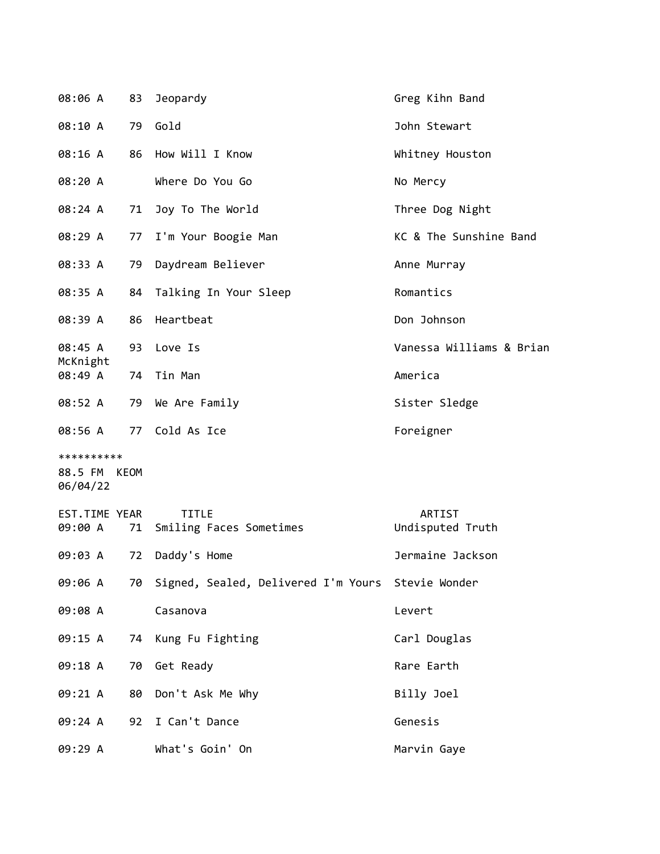| 08:06 A                                | 83 | Jeopardy                                             | Greg Kihn Band             |
|----------------------------------------|----|------------------------------------------------------|----------------------------|
| 08:10 A                                | 79 | Gold                                                 | John Stewart               |
| 08:16 A                                | 86 | How Will I Know                                      | Whitney Houston            |
| 08:20 A                                |    | Where Do You Go                                      | No Mercy                   |
| 08:24 A                                | 71 | Joy To The World                                     | Three Dog Night            |
| 08:29 A                                | 77 | I'm Your Boogie Man                                  | KC & The Sunshine Band     |
| 08:33 A                                | 79 | Daydream Believer                                    | Anne Murray                |
| 08:35 A                                | 84 | Talking In Your Sleep                                | Romantics                  |
| 08:39 A                                | 86 | Heartbeat                                            | Don Johnson                |
| 08:45 A                                | 93 | Love Is                                              | Vanessa Williams & Brian   |
| McKnight<br>08:49 A                    | 74 | Tin Man                                              | America                    |
| 08:52 A                                | 79 | We Are Family                                        | Sister Sledge              |
| 08:56 A                                |    | 77 Cold As Ice                                       | Foreigner                  |
| **********<br>88.5 FM KEOM<br>06/04/22 |    |                                                      |                            |
| EST.TIME YEAR<br>09:00 A               | 71 | <b>TITLE</b><br>Smiling Faces Sometimes              | ARTIST<br>Undisputed Truth |
| 09:03 A                                | 72 | Daddy's Home                                         | Jermaine Jackson           |
| 09:06 A                                |    | 70 Signed, Sealed, Delivered I'm Yours Stevie Wonder |                            |
| 09:08 A                                |    | Casanova                                             | Levert                     |
| 09:15 A                                |    | 74 Kung Fu Fighting                                  | Carl Douglas               |
| 09:18 A                                | 70 | Get Ready                                            | Rare Earth                 |
| 09:21 A                                | 80 | Don't Ask Me Why                                     | Billy Joel                 |
| 09:24 A                                |    | 92 I Can't Dance                                     | Genesis                    |
| 09:29 A                                |    | What's Goin' On                                      | Marvin Gaye                |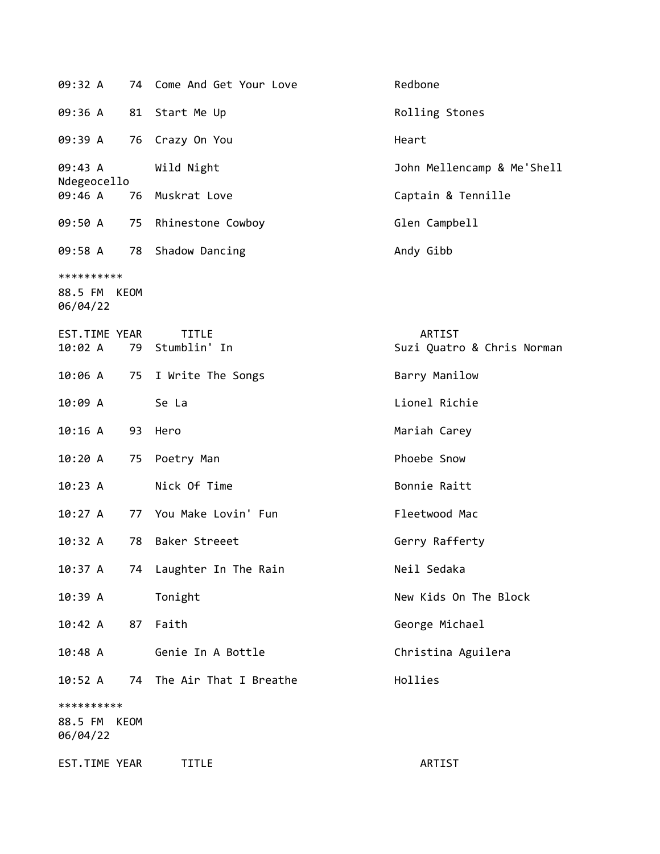| 09:32 A                           | 74   | Come And Get Your Love          | Redbone                              |
|-----------------------------------|------|---------------------------------|--------------------------------------|
| 09:36 A                           | 81   | Start Me Up                     | Rolling Stones                       |
| 09:39 A                           | 76   | Crazy On You                    | Heart                                |
| 09:43 A<br>Ndegeocello            |      | Wild Night                      | John Mellencamp & Me'Shell           |
| 09:46 A                           | 76   | Muskrat Love                    | Captain & Tennille                   |
| 09:50 A                           | 75   | Rhinestone Cowboy               | Glen Campbell                        |
| 09:58 A                           | 78   | Shadow Dancing                  | Andy Gibb                            |
| **********<br>88.5 FM<br>06/04/22 | KEOM |                                 |                                      |
| EST.TIME YEAR<br>10:02 A          |      | <b>TITLE</b><br>79 Stumblin' In | ARTIST<br>Suzi Quatro & Chris Norman |
| 10:06 A                           | 75   | I Write The Songs               | Barry Manilow                        |
| 10:09 A                           |      | Se La                           | Lionel Richie                        |
| 10:16A                            | 93   | Hero                            | Mariah Carey                         |
| 10:20 A                           | 75   | Poetry Man                      | Phoebe Snow                          |
| 10:23 A                           |      | Nick Of Time                    | Bonnie Raitt                         |
| 10:27 A                           | 77   | You Make Lovin' Fun             | Fleetwood Mac                        |
| 10:32 A                           | 78   | Baker Streeet                   | Gerry Rafferty                       |
| 10:37 A                           |      | 74 Laughter In The Rain         | Neil Sedaka                          |
| 10:39 A                           |      | Tonight                         | New Kids On The Block                |
| 10:42 A                           | 87   | Faith                           | George Michael                       |
| 10:48 A                           |      | Genie In A Bottle               | Christina Aguilera                   |
| 10:52 A                           | 74   | The Air That I Breathe          | Hollies                              |
| **********<br>88.5 FM<br>06/04/22 | KEOM |                                 |                                      |
| EST.TIME YEAR                     |      | <b>TITLE</b>                    | ARTIST                               |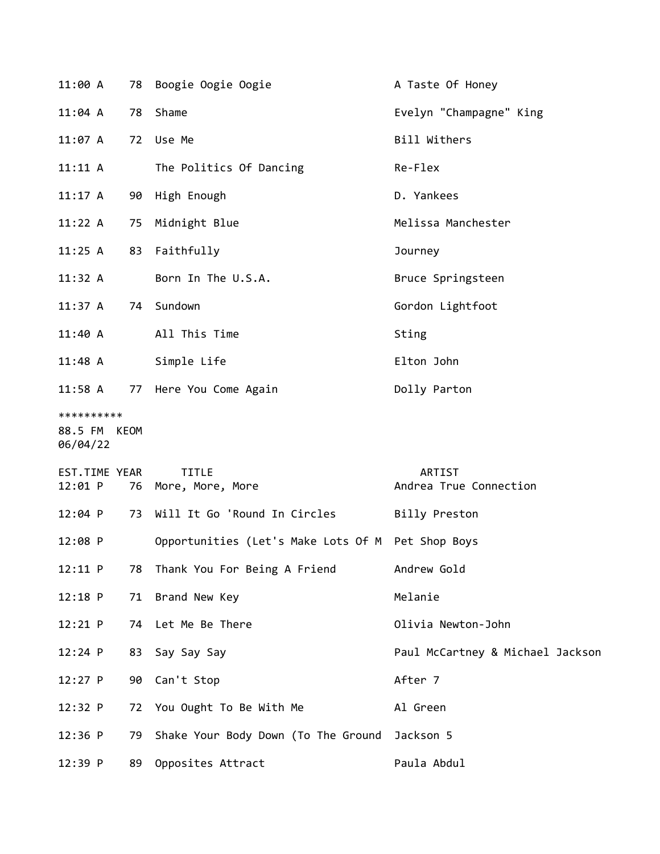| 11:00 A                                |    | 78 Boogie Oogie Oogie                             | A Taste Of Honey                        |
|----------------------------------------|----|---------------------------------------------------|-----------------------------------------|
| $11:04$ A                              |    | 78 Shame                                          | Evelyn "Champagne" King                 |
| 11:07 A                                |    | 72 Use Me                                         | Bill Withers                            |
| 11:11 A                                |    | The Politics Of Dancing                           | Re-Flex                                 |
| 11:17 A                                |    | 90 High Enough                                    | D. Yankees                              |
| 11:22 A                                |    | 75 Midnight Blue                                  | Melissa Manchester                      |
| $11:25$ A                              |    | 83 Faithfully                                     | Journey                                 |
| 11:32 A                                |    | Born In The U.S.A.                                | Bruce Springsteen                       |
| 11:37 A                                |    | 74 Sundown                                        | Gordon Lightfoot                        |
| 11:40 A                                |    | All This Time                                     | Sting                                   |
| 11:48 A                                |    | Simple Life                                       | Elton John                              |
| $11:58$ A                              |    | 77 Here You Come Again                            | Dolly Parton                            |
| **********<br>88.5 FM KEOM<br>06/04/22 |    |                                                   |                                         |
| EST.TIME YEAR<br>12:01 P               |    | <b>TITLE</b><br>76 More, More, More               | <b>ARTIST</b><br>Andrea True Connection |
| $12:04$ P                              |    | 73 Will It Go 'Round In Circles                   | Billy Preston                           |
| 12:08 P                                |    | Opportunities (Let's Make Lots Of M Pet Shop Boys |                                         |
| 12:11 P                                |    | 78 Thank You For Being A Friend                   | Andrew Gold                             |
| $12:18$ P                              | 71 | Brand New Key                                     | Melanie                                 |
| 12:21 P                                |    | 74 Let Me Be There                                | Olivia Newton-John                      |
| $12:24$ P                              | 83 | Say Say Say                                       | Paul McCartney & Michael Jackson        |
| $12:27$ P                              | 90 | Can't Stop                                        | After 7                                 |
| 12:32 P                                |    | 72 You Ought To Be With Me                        | Al Green                                |
| $12:36$ P                              | 79 | Shake Your Body Down (To The Ground Jackson 5     |                                         |
| 12:39 P                                | 89 | Opposites Attract                                 | Paula Abdul                             |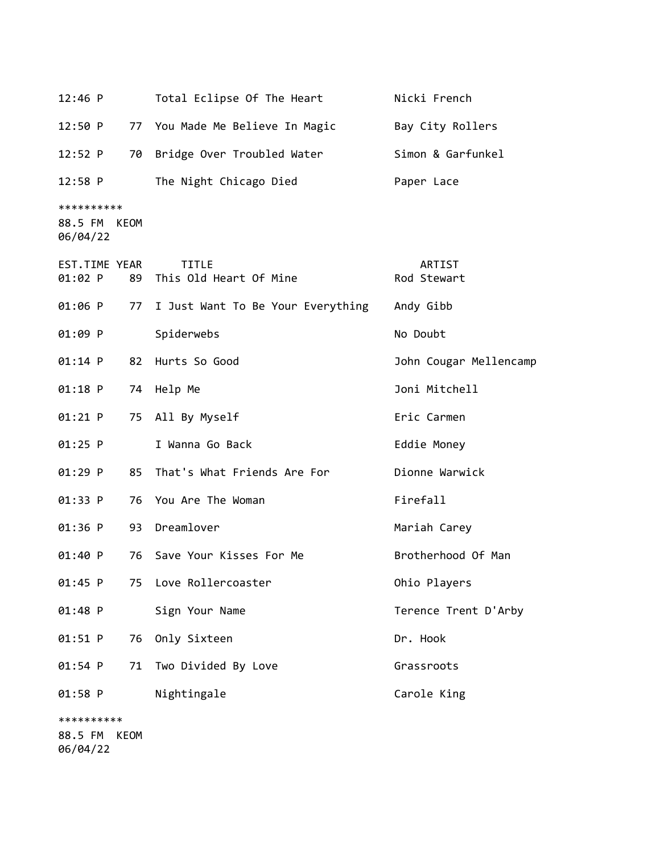| $12:46$ P                              | Total Eclipse Of The Heart             | Nicki French           |
|----------------------------------------|----------------------------------------|------------------------|
| 12:50 P                                | 77 You Made Me Believe In Magic        | Bay City Rollers       |
| 12:52 P<br>70                          | Bridge Over Troubled Water             | Simon & Garfunkel      |
| $12:58$ P                              | The Night Chicago Died                 | Paper Lace             |
| **********<br>88.5 FM KEOM<br>06/04/22 |                                        |                        |
| EST.TIME YEAR<br>01:02 P<br>89         | <b>TITLE</b><br>This Old Heart Of Mine | ARTIST<br>Rod Stewart  |
| 01:06 P                                | 77 I Just Want To Be Your Everything   | Andy Gibb              |
| 01:09 P                                | Spiderwebs                             | No Doubt               |
| $01:14$ P                              | 82 Hurts So Good                       | John Cougar Mellencamp |
| $01:18$ P                              | 74 Help Me                             | Joni Mitchell          |
| 01:21 P                                | 75 All By Myself                       | Eric Carmen            |
| $01:25$ P                              | I Wanna Go Back                        | Eddie Money            |
| 01:29 P<br>85                          | That's What Friends Are For            | Dionne Warwick         |
| 01:33 P                                | 76 You Are The Woman                   | Firefall               |
| 01:36 P                                | 93 Dreamlover                          | Mariah Carey           |
| 01:40 P<br>76                          | Save Your Kisses For Me                | Brotherhood Of Man     |
| 01:45 P<br>75                          | Love Rollercoaster                     | Ohio Players           |
| 01:48 P                                | Sign Your Name                         | Terence Trent D'Arby   |
| 01:51 P<br>76                          | Only Sixteen                           | Dr. Hook               |
| 01:54 P<br>71                          | Two Divided By Love                    | Grassroots             |
| 01:58 P                                | Nightingale                            | Carole King            |
| **********                             |                                        |                        |
| 88.5 FM<br>KEOM                        |                                        |                        |
|                                        |                                        |                        |

06/04/22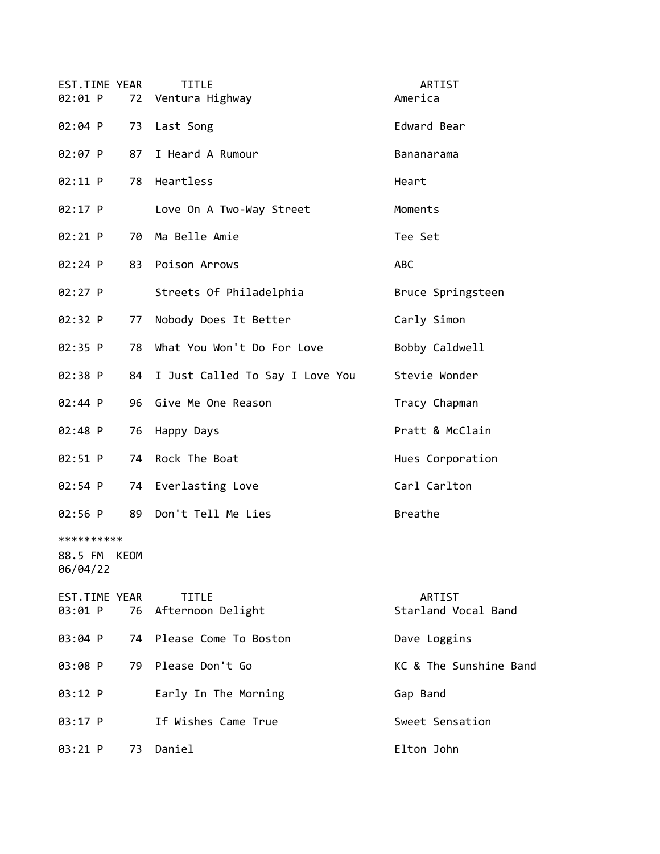| EST.TIME YEAR<br>02:01 P          |      | <b>TITLE</b><br>72 Ventura Highway   | ARTIST<br>America             |
|-----------------------------------|------|--------------------------------------|-------------------------------|
| 02:04 P                           |      | 73 Last Song                         | Edward Bear                   |
| 02:07 P                           | 87   | I Heard A Rumour                     | Bananarama                    |
| 02:11 P                           |      | 78 Heartless                         | Heart                         |
| 02:17 P                           |      | Love On A Two-Way Street             | Moments                       |
| $02:21$ P                         |      | 70 Ma Belle Amie                     | Tee Set                       |
| 02:24 P                           |      | 83 Poison Arrows                     | <b>ABC</b>                    |
| 02:27 P                           |      | Streets Of Philadelphia              | Bruce Springsteen             |
| 02:32 P                           | 77   | Nobody Does It Better                | Carly Simon                   |
| 02:35 P                           |      | 78 What You Won't Do For Love        | Bobby Caldwell                |
| 02:38 P                           |      | 84 I Just Called To Say I Love You   | Stevie Wonder                 |
| 02:44 P                           |      | 96 Give Me One Reason                | Tracy Chapman                 |
| 02:48 P                           |      | 76 Happy Days                        | Pratt & McClain               |
| 02:51 P                           |      | 74 Rock The Boat                     | Hues Corporation              |
| 02:54 P                           |      | 74 Everlasting Love                  | Carl Carlton                  |
| 02:56 P                           | 89   | Don't Tell Me Lies                   | Breathe                       |
| **********<br>88.5 FM<br>06/04/22 | KEOM |                                      |                               |
| EST.TIME YEAR<br>03:01 P          |      | <b>TITLE</b><br>76 Afternoon Delight | ARTIST<br>Starland Vocal Band |
| 03:04 P                           |      | 74 Please Come To Boston             | Dave Loggins                  |
| 03:08 P                           |      | 79 Please Don't Go                   | KC & The Sunshine Band        |
| 03:12 P                           |      | Early In The Morning                 | Gap Band                      |
| 03:17 P                           |      | If Wishes Came True                  | Sweet Sensation               |
| 03:21 P                           |      | 73 Daniel                            | Elton John                    |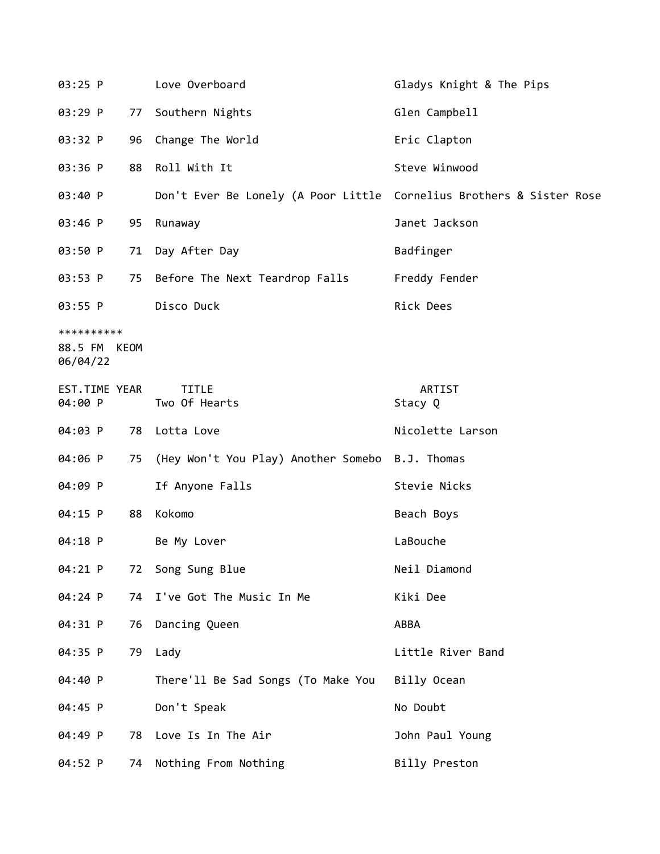| 03:25 P                                |    | Love Overboard                                                       | Gladys Knight & The Pips |
|----------------------------------------|----|----------------------------------------------------------------------|--------------------------|
| 03:29 P                                | 77 | Southern Nights                                                      | Glen Campbell            |
| 03:32 P                                |    | 96 Change The World                                                  | Eric Clapton             |
| 03:36 P                                |    | 88 Roll With It                                                      | Steve Winwood            |
| 03:40 P                                |    | Don't Ever Be Lonely (A Poor Little Cornelius Brothers & Sister Rose |                          |
| 03:46 P                                | 95 | Runaway                                                              | Janet Jackson            |
| 03:50 P                                |    | 71 Day After Day                                                     | Badfinger                |
| 03:53 P                                |    | 75 Before The Next Teardrop Falls                                    | Freddy Fender            |
| 03:55 P                                |    | Disco Duck                                                           | Rick Dees                |
| **********<br>88.5 FM KEOM<br>06/04/22 |    |                                                                      |                          |
| EST.TIME YEAR<br>04:00 P               |    | <b>TITLE</b><br>Two Of Hearts                                        | ARTIST<br>Stacy Q        |
| 04:03 P                                |    | 78 Lotta Love                                                        | Nicolette Larson         |
| 04:06 P                                |    | 75 (Hey Won't You Play) Another Somebo B.J. Thomas                   |                          |
| 04:09 P                                |    | If Anyone Falls                                                      | Stevie Nicks             |
| 04:15 P                                | 88 | Kokomo                                                               | Beach Boys               |
| 04:18 P                                |    | Be My Lover                                                          | LaBouche                 |
| 04:21 P                                |    | 72 Song Sung Blue                                                    | Neil Diamond             |
| 04:24 P                                | 74 | I've Got The Music In Me                                             | Kiki Dee                 |
| 04:31 P                                | 76 | Dancing Queen                                                        | ABBA                     |
| 04:35 P                                |    | 79 Lady                                                              | Little River Band        |
| 04:40 P                                |    | There'll Be Sad Songs (To Make You                                   | Billy Ocean              |
| 04:45 P                                |    | Don't Speak                                                          | No Doubt                 |
| 04:49 P                                |    | 78 Love Is In The Air                                                | John Paul Young          |
| 04:52 P                                | 74 | Nothing From Nothing                                                 | Billy Preston            |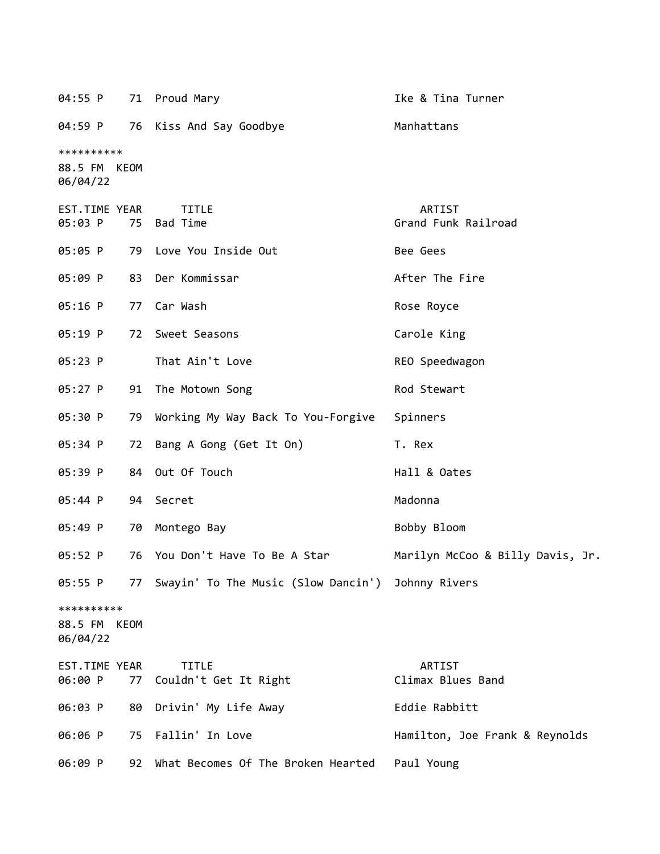| 04:55 P                                |    | 71 Proud Mary                                        | Ike & Tina Turner                |
|----------------------------------------|----|------------------------------------------------------|----------------------------------|
| 04:59 P                                |    | 76 Kiss And Say Goodbye                              | Manhattans                       |
| **********<br>88.5 FM KEOM<br>06/04/22 |    |                                                      |                                  |
| EST.TIME YEAR<br>05:03 P               | 75 | <b>TITLE</b><br>Bad Time                             | ARTIST<br>Grand Funk Railroad    |
| 05:05 P                                |    | 79 Love You Inside Out                               | Bee Gees                         |
| 05:09 P                                | 83 | Der Kommissar                                        | After The Fire                   |
| 05:16 P                                | 77 | Car Wash                                             | Rose Royce                       |
| 05:19 P                                | 72 | Sweet Seasons                                        | Carole King                      |
| 05:23 P                                |    | That Ain't Love                                      | REO Speedwagon                   |
| 05:27 P                                | 91 | The Motown Song                                      | Rod Stewart                      |
| 05:30 P                                | 79 | Working My Way Back To You-Forgive                   | Spinners                         |
| 05:34 P                                | 72 | Bang A Gong (Get It On)                              | T. Rex                           |
| 05:39 P                                |    | 84 Out Of Touch                                      | Hall & Oates                     |
| 05:44 P                                | 94 | Secret                                               | Madonna                          |
| 05:49 P                                | 70 | Montego Bay                                          | Bobby Bloom                      |
| 05:52 P                                |    | 76 You Don't Have To Be A Star                       | Marilyn McCoo & Billy Davis, Jr. |
| 05:55 P                                |    | 77 Swayin' To The Music (Slow Dancin') Johnny Rivers |                                  |
| **********<br>88.5 FM KEOM<br>06/04/22 |    |                                                      |                                  |
| EST.TIME YEAR<br>06:00 P               | 77 | <b>TITLE</b><br>Couldn't Get It Right                | ARTIST<br>Climax Blues Band      |
| 06:03 P                                | 80 | Drivin' My Life Away                                 | Eddie Rabbitt                    |
| 06:06 P                                | 75 | Fallin' In Love                                      | Hamilton, Joe Frank & Reynolds   |
| 06:09 P                                | 92 | What Becomes Of The Broken Hearted                   | Paul Young                       |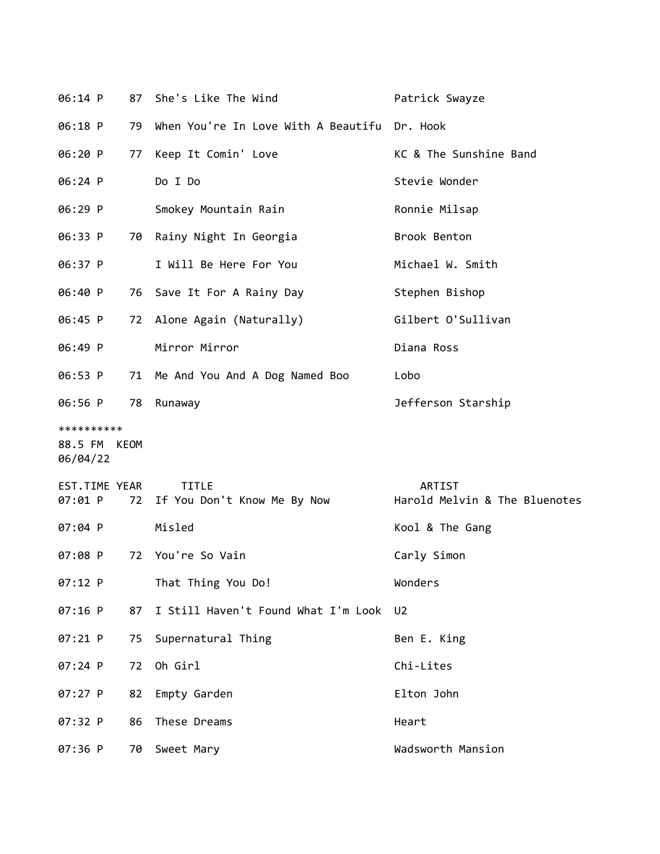| 06:14 P                                |    | 87 She's Like The Wind                         | Patrick Swayze                                 |
|----------------------------------------|----|------------------------------------------------|------------------------------------------------|
| 06:18 P                                | 79 | When You're In Love With A Beautifu Dr. Hook   |                                                |
| 06:20 P                                | 77 | Keep It Comin' Love                            | KC & The Sunshine Band                         |
| 06:24 P                                |    | Do I Do                                        | Stevie Wonder                                  |
| 06:29 P                                |    | Smokey Mountain Rain                           | Ronnie Milsap                                  |
| 06:33 P                                |    | 70 Rainy Night In Georgia                      | Brook Benton                                   |
| 06:37 P                                |    | I Will Be Here For You                         | Michael W. Smith                               |
| 06:40 P                                |    | 76 Save It For A Rainy Day                     | Stephen Bishop                                 |
| 06:45 P                                |    | 72 Alone Again (Naturally)                     | Gilbert O'Sullivan                             |
| 06:49 P                                |    | Mirror Mirror                                  | Diana Ross                                     |
| 06:53 P                                |    | 71 Me And You And A Dog Named Boo              | Lobo                                           |
| 06:56 P                                | 78 | Runaway                                        | Jefferson Starship                             |
| **********<br>88.5 FM KEOM<br>06/04/22 |    |                                                |                                                |
| EST.TIME YEAR<br>07:01 P               |    | <b>TITLE</b><br>72 If You Don't Know Me By Now | <b>ARTIST</b><br>Harold Melvin & The Bluenotes |
| 07:04 P                                |    | Misled                                         | Kool & The Gang                                |
| 07:08 P                                |    | 72 You're So Vain                              | Carly Simon                                    |
| 07:12 P                                |    | That Thing You Do!                             | Wonders                                        |
| 07:16 P                                | 87 | I Still Haven't Found What I'm Look            | U <sub>2</sub>                                 |
| 07:21 P                                | 75 | Supernatural Thing                             | Ben E. King                                    |
| 07:24 P                                | 72 | Oh Girl                                        | Chi-Lites                                      |
| 07:27 P                                | 82 | Empty Garden                                   | Elton John                                     |
| 07:32 P                                | 86 | These Dreams                                   | Heart                                          |
| 07:36 P                                | 70 | Sweet Mary                                     | Wadsworth Mansion                              |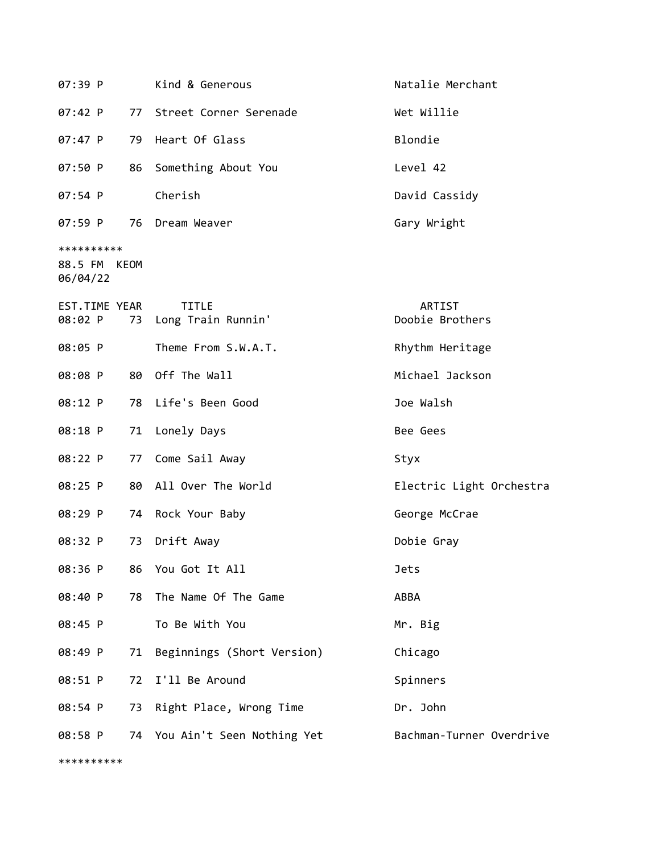| 07:39 P                                |    | Kind & Generous                       | Natalie Merchant          |
|----------------------------------------|----|---------------------------------------|---------------------------|
| 07:42 P                                |    | 77 Street Corner Serenade             | Wet Willie                |
| 07:47 P                                | 79 | Heart Of Glass                        | Blondie                   |
| 07:50 P                                | 86 | Something About You                   | Level 42                  |
| $07:54$ P                              |    | Cherish                               | David Cassidy             |
| 07:59 P                                |    | 76 Dream Weaver                       | Gary Wright               |
| **********<br>88.5 FM KEOM<br>06/04/22 |    |                                       |                           |
| EST.TIME YEAR<br>08:02 P               |    | <b>TITLE</b><br>73 Long Train Runnin' | ARTIST<br>Doobie Brothers |
| 08:05 P                                |    | Theme From S.W.A.T.                   | Rhythm Heritage           |
| 08:08 P                                |    | 80 Off The Wall                       | Michael Jackson           |
| 08:12 P                                | 78 | Life's Been Good                      | Joe Walsh                 |
| 08:18 P                                | 71 | Lonely Days                           | Bee Gees                  |
| 08:22 P                                | 77 | Come Sail Away                        | Styx                      |
| 08:25 P                                | 80 | All Over The World                    | Electric Light Orchestra  |
| 08:29 P                                | 74 | Rock Your Baby                        | George McCrae             |
| 08:32 P                                | 73 | Drift Away                            | Dobie Gray                |
| 08:36 P                                | 86 | You Got It All                        | <b>Jets</b>               |
| 08:40 P                                | 78 | The Name Of The Game                  | ABBA                      |
| 08:45 P                                |    | To Be With You                        | Mr. Big                   |
| 08:49 P                                | 71 | Beginnings (Short Version)            | Chicago                   |
| 08:51 P                                | 72 | I'll Be Around                        | Spinners                  |
| 08:54 P                                | 73 | Right Place, Wrong Time               | Dr. John                  |
| 08:58 P                                | 74 | You Ain't Seen Nothing Yet            | Bachman-Turner Overdrive  |

\*\*\*\*\*\*\*\*\*\*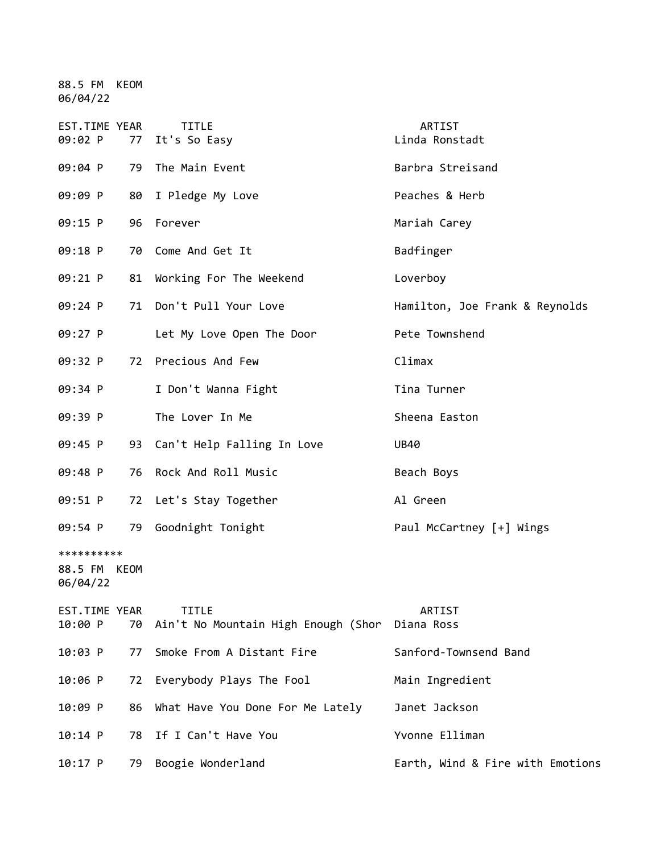88.5 FM KEOM 06/04/22

| EST.TIME YEAR<br>09:02 P               | 77 | <b>TITLE</b><br>It's So Easy                                   | ARTIST<br>Linda Ronstadt         |
|----------------------------------------|----|----------------------------------------------------------------|----------------------------------|
| 09:04 P                                | 79 | The Main Event                                                 | Barbra Streisand                 |
| 09:09 P                                | 80 | I Pledge My Love                                               | Peaches & Herb                   |
| 09:15 P                                | 96 | Forever                                                        | Mariah Carey                     |
| 09:18 P                                | 70 | Come And Get It                                                | Badfinger                        |
| 09:21 P                                | 81 | Working For The Weekend                                        | Loverboy                         |
| 09:24 P                                | 71 | Don't Pull Your Love                                           | Hamilton, Joe Frank & Reynolds   |
| 09:27 P                                |    | Let My Love Open The Door                                      | Pete Townshend                   |
| 09:32 P                                |    | 72 Precious And Few                                            | Climax                           |
| 09:34 P                                |    | I Don't Wanna Fight                                            | Tina Turner                      |
| 09:39 P                                |    | The Lover In Me                                                | Sheena Easton                    |
| 09:45 P                                |    | 93 Can't Help Falling In Love                                  | <b>UB40</b>                      |
| 09:48 P                                | 76 | Rock And Roll Music                                            | Beach Boys                       |
| 09:51 P                                | 72 | Let's Stay Together                                            | Al Green                         |
| 09:54 P                                | 79 | Goodnight Tonight                                              | Paul McCartney [+] Wings         |
| **********<br>88.5 FM KEOM<br>06/04/22 |    |                                                                |                                  |
| EST.TIME YEAR<br>10:00 P               | 70 | <b>TITLE</b><br>Ain't No Mountain High Enough (Shor Diana Ross | <b>ARTIST</b>                    |
| 10:03 P                                | 77 | Smoke From A Distant Fire                                      | Sanford-Townsend Band            |
| 10:06 P                                | 72 | Everybody Plays The Fool                                       | Main Ingredient                  |
| 10:09 P                                | 86 | What Have You Done For Me Lately                               | Janet Jackson                    |
| $10:14$ P                              | 78 | If I Can't Have You                                            | Yvonne Elliman                   |
| $10:17$ P                              | 79 | Boogie Wonderland                                              | Earth, Wind & Fire with Emotions |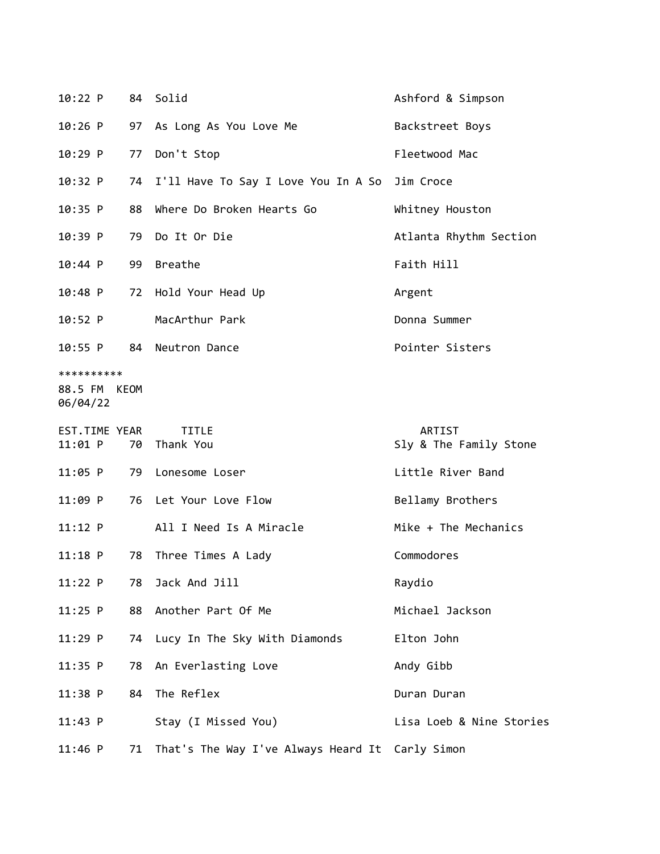| 10:22 P                           |      | 84 Solid                                        | Ashford & Simpson                |
|-----------------------------------|------|-------------------------------------------------|----------------------------------|
| $10:26$ P                         |      | 97 As Long As You Love Me                       | Backstreet Boys                  |
| 10:29 P                           | 77   | Don't Stop                                      | Fleetwood Mac                    |
| 10:32 P                           | 74   | I'll Have To Say I Love You In A So Jim Croce   |                                  |
| 10:35 P                           | 88   | Where Do Broken Hearts Go                       | Whitney Houston                  |
| 10:39 P                           | 79   | Do It Or Die                                    | Atlanta Rhythm Section           |
| 10:44 P                           | 99   | Breathe                                         | Faith Hill                       |
| $10:48$ P                         | 72   | Hold Your Head Up                               | Argent                           |
| 10:52 P                           |      | MacArthur Park                                  | Donna Summer                     |
| 10:55 P                           | 84   | Neutron Dance                                   | Pointer Sisters                  |
| **********<br>88.5 FM<br>06/04/22 | KEOM |                                                 |                                  |
| EST.TIME YEAR<br>$11:01$ P        |      | <b>TITLE</b><br>70 Thank You                    | ARTIST<br>Sly & The Family Stone |
| $11:05$ P                         | 79   | Lonesome Loser                                  | Little River Band                |
| 11:09 P                           | 76   | Let Your Love Flow                              | Bellamy Brothers                 |
| 11:12 P                           |      | All I Need Is A Miracle                         | Mike + The Mechanics             |
| $11:18$ P                         | 78   | Three Times A Lady                              | Commodores                       |
| 11:22 P                           | 78   | Jack And Jill                                   | Raydio                           |
| $11:25$ P                         | 88   | Another Part Of Me                              | Michael Jackson                  |
| $11:29$ P                         | 74   | Lucy In The Sky With Diamonds                   | Elton John                       |
| $11:35$ P                         | 78   | An Everlasting Love                             | Andy Gibb                        |
| 11:38 P                           | 84   | The Reflex                                      | Duran Duran                      |
| 11:43 P                           |      | Stay (I Missed You)                             | Lisa Loeb & Nine Stories         |
| $11:46$ P                         | 71   | That's The Way I've Always Heard It Carly Simon |                                  |